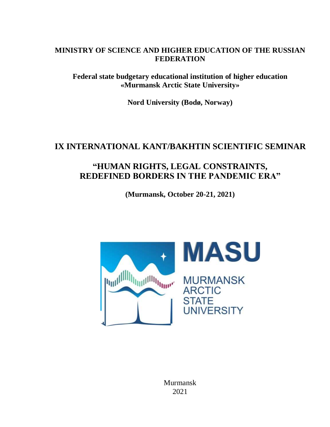# **MINISTRY OF SCIENCE AND HIGHER EDUCATION OF THE RUSSIAN FEDERATION**

**Federal state budgetary educational institution of higher education «Murmansk Arctic State University»**

**Nord University (Bodø, Norway)**

# **IX INTERNATIONAL KANT/BAKHTIN SCIENTIFIC SEMINAR**

# **"HUMAN RIGHTS, LEGAL CONSTRAINTS, REDEFINED BORDERS IN THE PANDEMIC ERA"**

**(Murmansk, October 20-21, 2021)**

**MASU Dulle Allie And Allie Brown MURMANSK ARCTIC STATE UNIVERSITY** 

Murmansk 2021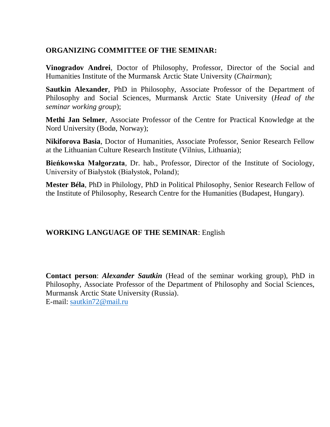# **ORGANIZING COMMITTEE OF THE SEMINAR:**

**Vinogradov Andrei**, Doctor of Philosophy, Professor, Director of the Social and Humanities Institute of the Murmansk Arctic State University (*Chairman*);

**Sautkin Alexander**, PhD in Philosophy, Associate Professor of the Department of Philosophy and Social Sciences, Murmansk Arctic State University (*Head of the seminar working group*);

**Methi Jan Selmer**, Associate Professor of the Centre for Practical Knowledge at the Nord University (Bodø, Norway);

**Nikiforova Basia**, Doctor of Humanities, Associate Professor, Senior Research Fellow at the Lithuanian Culture Research Institute (Vilnius, Lithuania);

**Bieńkowska Małgorzata**, Dr. hab., Professor, Director of the Institute of Sociology, University of Białystok (Białystok, Poland);

**Mester Béla**, PhD in Philology, PhD in Political Philosophy, Senior Research Fellow of the Institute of Philosophy, Research Centre for the Humanities (Budapest, Hungary).

# **WORKING LANGUAGE OF THE SEMINAR**: English

**Contact person**: *Alexander Sautkin* (Head of the seminar working group), PhD in Philosophy, Associate Professor of the Department of Philosophy and Social Sciences, Murmansk Arctic State University (Russia). E-mail: [sautkin72@mail.ru](mailto:sautkin72@mail.ru)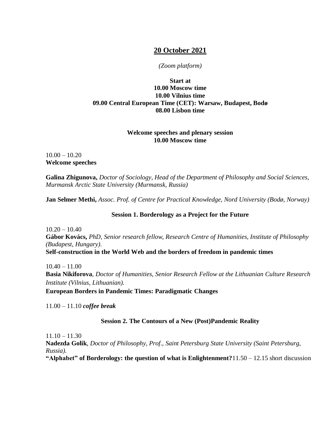# **20 October 2021**

#### *(Zoom platform)*

# **Start at 10.00 Moscow time 10.00 Vilnius time 09.00 Central European Time (CET): Warsaw, Budapest, Bodø 08.00 Lisbon time**

### **Welcome speeches and plenary session 10.00 Moscow time**

# $10.00 - 10.20$ **Welcome speeches**

**Galina Zhigunova,** *Doctor of Sociology, Head of the Department of Philosophy and Social Sciences, Murmansk Arctic State University (Murmansk, Russia)*

**Jan Selmer Methi,** *Assoc. Prof. of Centre for Practical Knowledge, Nord University (Bodø, Norway)*

## **Session 1. Borderology as a Project for the Future**

 $10.20 - 10.40$ **Gábor Kovács,** *PhD, Senior research fellow, Research Centre of Humanities, Institute of Philosophy (Budapest, Hungary).* **Self-construction in the World Web and the borders of freedom in pandemic times**

 $10.40 - 11.00$ **Basia Nikiforova**, *Doctor of Humanities, Senior Research Fellow at the Lithuanian Culture Research Institute (Vilnius, Lithuanian).*

**European Borders in Pandemic Times: Paradigmatic Changes**

11.00 – 11.10 *coffee break*

# **Session 2. The Contours of a New (Post)Pandemic Reality**

 $11.10 - 11.30$ 

**Nadezda Golik**, *Doctor of Philosophy, Prof., Saint Petersburg State University (Saint Petersburg, Russia).* 

**"Alphabet" of Borderology: the question of what is Enlightenment?**11.50 – 12.15 short discussion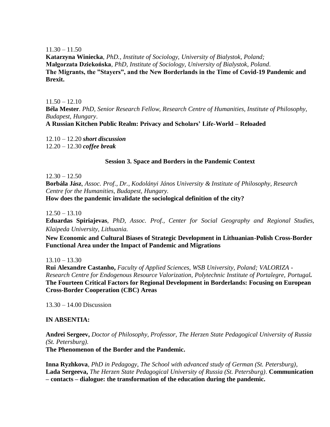$11.30 - 11.50$ 

**Katarzyna Winiecka**, *PhD., Institute of Sociology, University of Bialystok, Poland;* **Małgorzata Dziekońska**, *PhD, Institute of Sociology, University of Bialystok*, *Poland*. **The Migrants, the "Stayers", and the New Borderlands in the Time of Covid-19 Pandemic and Brexit.**

 $11.50 - 12.10$ **Béla Mester**. *PhD, Senior Research Fellow, Research Centre of Humanities, Institute of Philosophy, Budapest, Hungary*. **A Russian Kitchen Public Realm: Privacy and Scholars' Life-World – Reloaded**

12.10 – 12.20 *short discussion* 12.20 – 12.30 *coffee break*

#### **Session 3. Space and Borders in the Pandemic Context**

 $12.30 - 12.50$ 

**Borbála Jász**, *Assoc. Prof., Dr., Kodolányi János University & Institute of Philosophy, Research Centre for the Humanities, Budapest, Hungary.*

**How does the pandemic invalidate the sociological definition of the city?**

 $12.50 - 13.10$ 

**Eduardas Spiriajevas**, *PhD, Assoc. Prof., Center for Social Geography and Regional Studies, Klaipeda University, Lithuania.*

**New Economic and Cultural Biases of Strategic Development in Lithuanian-Polish Cross-Border Functional Area under the Impact of Pandemic and Migrations**

 $13.10 - 13.30$ 

**Rui Alexandre Castanho,** *Faculty of Applied Sciences, WSB University, Poland; VALORIZA - Research Centre for Endogenous Resource Valorization, Polytechnic Institute of Portalegre, Portugal.* **The Fourteen Critical Factors for Regional Development in Borderlands: Focusing on European Cross-Border Cooperation (CBC) Areas**

13.30 – 14.00 Discussion

#### **IN ABSENTIA:**

**Andrei Sergeev,** *Doctor of Philosophy, Professor, The Herzen State Pedagogical University of Russia (St. Petersburg).*

**The Phenomenon of the Border and the Pandemic.**

**Inna Ryzhkova**, *PhD in Pedagogy*, *The School with advanced study of German (St. Petersburg)*, **Lada Sergeeva,** *The Herzen State Pedagogical University of Russia (St. Petersburg)*. **Communication – contacts – dialogue: the transformation of the education during the pandemic.**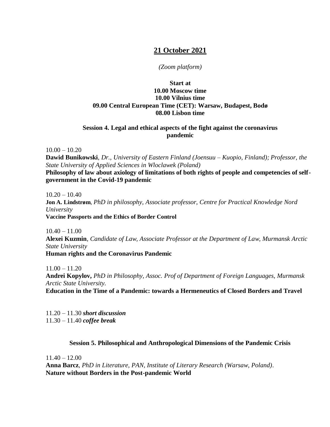# **21 October 2021**

### *(Zoom platform)*

# **Start at 10.00 Moscow time 10.00 Vilnius time 09.00 Central European Time (CET): Warsaw, Budapest, Bodø 08.00 Lisbon time**

## **Session 4. Legal and ethical aspects of the fight against the coronavirus pandemic**

 $10.00 - 10.20$ 

**Dawid Bunikowski**, *Dr., University of Eastern Finland (Joensuu – Kuopio, Finland); Professor, the State University of Applied Sciences in Wloclawek (Poland)*

Philosophy of law about axiology of limitations of both rights of people and competencies of self**government in the Covid-19 pandemic**

 $10.20 - 10.40$ **Jon A. Lindstrøm**, *PhD in philosophy, Associate professor, Centre for Practical Knowledge Nord University* **Vaccine Passports and the Ethics of Border Control**

 $10.40 - 11.00$ 

**Alexei Kuzmin**, *Candidate of Law, Associate Professor at the Department of Law, Murmansk Arctic State University*

#### **Human rights and the Coronavirus Pandemic**

 $11.00 - 11.20$ 

**Andrei Kopylov,** *PhD in Philosophy, Assoc. Prof of Department of Foreign Languages, Murmansk Arctic State University.* 

**Education in the Time of a Pandemic: towards a Hermeneutics of Closed Borders and Travel**

11.20 – 11.30 *short discussion* 11.30 – 11.40 *coffee break*

### **Session 5. Philosophical and Anthropological Dimensions of the Pandemic Crisis**

 $11.40 - 12.00$ 

**Anna Barcz**, *PhD in Literature, PAN, Institute of Literary Research (Warsaw, Poland)*. **Nature without Borders in the Post-pandemic World**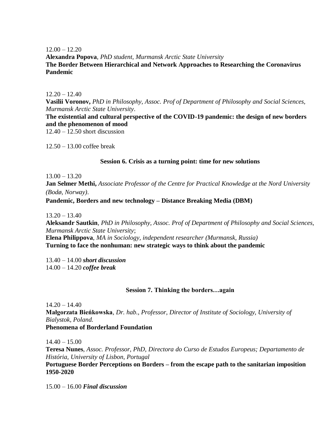$12.00 - 12.20$ 

**Alexandra Popova**, *PhD student, Murmansk Arctic State University* **The Border Between Hierarchical and Network Approaches to Researching the Coronavirus Pandemic**

 $12.20 - 12.40$ 

**Vasilii Voronov,** *PhD in Philosophy, Assoc. Prof of Department of Philosophy and Social Sciences, Murmansk Arctic State University*.

**The existential and cultural perspective of the COVID-19 pandemic: the design of new borders and the phenomenon of mood**

12.40 – 12.50 short discussion

12.50 – 13.00 coffee break

#### **Session 6. Crisis as a turning point: time for new solutions**

 $13.00 - 13.20$ 

**Jan Selmer Methi,** *Associate Professor of the Centre for Practical Knowledge at the Nord University (Bodø, Norway)*.

### **Pandemic, Borders and new technology – Distance Breaking Media (DBM)**

 $13.20 - 13.40$ 

**Aleksandr Sautkin***, PhD in Philosophy, Assoc. Prof of Department of Philosophy and Social Sciences, Murmansk Arctic State University*;

**Elena Philippova**, *MA in Sociology, independent researcher (Murmansk, Russia)* **Turning to face the nonhuman: new strategic ways to think about the pandemic**

13.40 – 14.00 *short discussion* 14.00 – 14.20 *coffee break*

### **Session 7. Thinking the borders…again**

 $14.20 - 14.40$ 

**Małgorzata Bieńkowska**, *Dr. hab., Professor, Director of Institute of Sociology, University of Bialystok, Poland.* 

**Phenomena of Borderland Foundation**

 $14.40 - 15.00$ 

**Teresa Nunes**, *Assoc. Professor, PhD, Directora do Curso de Estudos Europeus; Departamento de História, University of Lisbon, Portugal*

**Portuguese Border Perceptions on Borders – from the escape path to the sanitarian imposition 1950-2020**

15.00 – 16.00 *Final discussion*